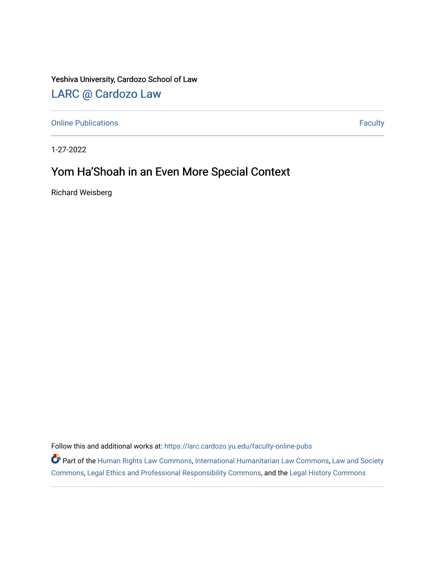Yeshiva University, Cardozo School of Law

## [LARC @ Cardozo Law](https://larc.cardozo.yu.edu/)

[Online Publications](https://larc.cardozo.yu.edu/faculty-online-pubs) **Faculty** 

1-27-2022

## Yom Ha'Shoah in an Even More Special Context

Richard Weisberg

Follow this and additional works at: [https://larc.cardozo.yu.edu/faculty-online-pubs](https://larc.cardozo.yu.edu/faculty-online-pubs?utm_source=larc.cardozo.yu.edu%2Ffaculty-online-pubs%2F5&utm_medium=PDF&utm_campaign=PDFCoverPages) 

Part of the [Human Rights Law Commons,](http://network.bepress.com/hgg/discipline/847?utm_source=larc.cardozo.yu.edu%2Ffaculty-online-pubs%2F5&utm_medium=PDF&utm_campaign=PDFCoverPages) [International Humanitarian Law Commons](http://network.bepress.com/hgg/discipline/1330?utm_source=larc.cardozo.yu.edu%2Ffaculty-online-pubs%2F5&utm_medium=PDF&utm_campaign=PDFCoverPages), Law and Society [Commons](http://network.bepress.com/hgg/discipline/853?utm_source=larc.cardozo.yu.edu%2Ffaculty-online-pubs%2F5&utm_medium=PDF&utm_campaign=PDFCoverPages), [Legal Ethics and Professional Responsibility Commons,](http://network.bepress.com/hgg/discipline/895?utm_source=larc.cardozo.yu.edu%2Ffaculty-online-pubs%2F5&utm_medium=PDF&utm_campaign=PDFCoverPages) and the [Legal History Commons](http://network.bepress.com/hgg/discipline/904?utm_source=larc.cardozo.yu.edu%2Ffaculty-online-pubs%2F5&utm_medium=PDF&utm_campaign=PDFCoverPages)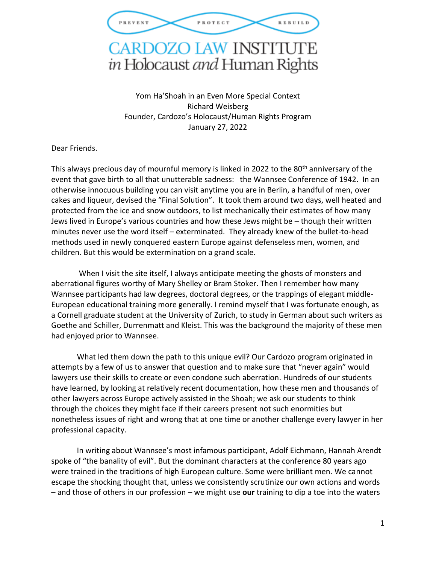

## **CARDOZO LAW INSTITUTE** in Holocaust and Human Rights

Yom Ha'Shoah in an Even More Special Context Richard Weisberg Founder, Cardozo's Holocaust/Human Rights Program January 27, 2022

Dear Friends.

This always precious day of mournful memory is linked in 2022 to the 80<sup>th</sup> anniversary of the event that gave birth to all that unutterable sadness: the Wannsee Conference of 1942. In an otherwise innocuous building you can visit anytime you are in Berlin, a handful of men, over cakes and liqueur, devised the "Final Solution". It took them around two days, well heated and protected from the ice and snow outdoors, to list mechanically their estimates of how many Jews lived in Europe's various countries and how these Jews might be – though their written minutes never use the word itself – exterminated. They already knew of the bullet-to-head methods used in newly conquered eastern Europe against defenseless men, women, and children. But this would be extermination on a grand scale.

When I visit the site itself, I always anticipate meeting the ghosts of monsters and aberrational figures worthy of Mary Shelley or Bram Stoker. Then I remember how many Wannsee participants had law degrees, doctoral degrees, or the trappings of elegant middle-European educational training more generally. I remind myself that I was fortunate enough, as a Cornell graduate student at the University of Zurich, to study in German about such writers as Goethe and Schiller, Durrenmatt and Kleist. This was the background the majority of these men had enjoyed prior to Wannsee.

What led them down the path to this unique evil? Our Cardozo program originated in attempts by a few of us to answer that question and to make sure that "never again" would lawyers use their skills to create or even condone such aberration. Hundreds of our students have learned, by looking at relatively recent documentation, how these men and thousands of other lawyers across Europe actively assisted in the Shoah; we ask our students to think through the choices they might face if their careers present not such enormities but nonetheless issues of right and wrong that at one time or another challenge every lawyer in her professional capacity.

In writing about Wannsee's most infamous participant, Adolf Eichmann, Hannah Arendt spoke of "the banality of evil". But the dominant characters at the conference 80 years ago were trained in the traditions of high European culture. Some were brilliant men. We cannot escape the shocking thought that, unless we consistently scrutinize our own actions and words – and those of others in our profession – we might use **our** training to dip a toe into the waters